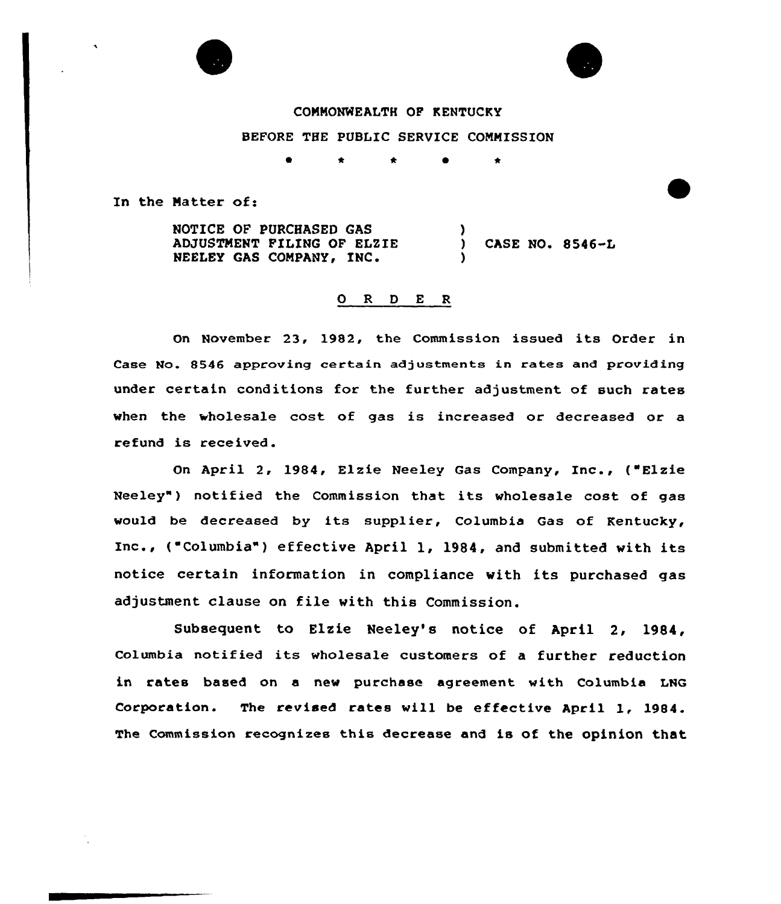

## COMMONWEALTH OF KENTUCKY

## BEFORE THE PUBLIC SERVICE COMMISSION

<sup>0</sup> \* \* \*

In the Matter of:

NOTICE OF PURCHASED GAS ADJUSTMENT FILING OF ELZIE NEELEY GAS COMPANY, INC.  $\left\{ \right\}$ CASE NO.  $8546 - L$ )

## O R D E R

On November 23, 1982, the Commission issued its Order in Case No. 8546 approving certain adjustments in rates and providing under certain conditions for the further adjustment of such rates when the wholesale cost of gas is increased or decreased or a refund is received.

On April 2, 1984, Elzie Neeley Gas Company, Inc., ("Elzie Neeley") notified the Commission that its wholesale cost of gas would be decreased by its supplier, Columbia Gas of Kentucky, Inc., ("Columbia" ) effective April 1, 1984, and submitted with its notice certain information in compliance with its purchased gas adjustment clause on file with this Commission.

Subsequent to Elzie Neeley's notice of April 2, 1984, Columbia notified its wholesale customers of a further reduction in rates based on a new purchase agreement with Columbia LNG Corporation. The revised rates will be effective April 1, 1984. The commission recognizes this decrease and is of the opinion that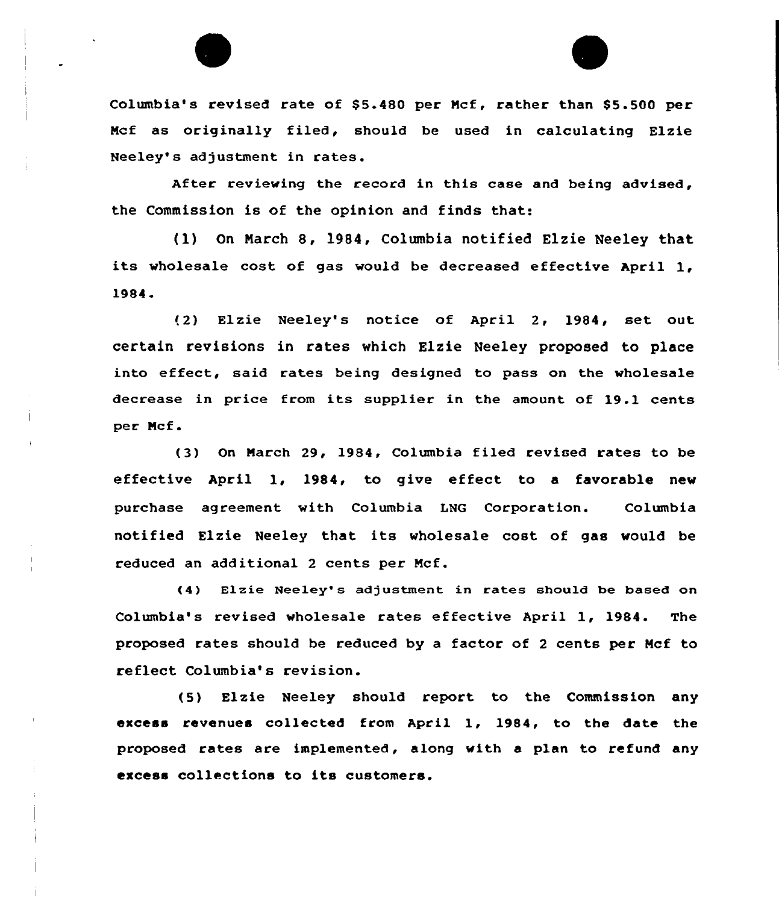

Columbia's revised rate of \$5.480 per Mcf, rather than \$5.500 per Ncf as originally filed, should be used in calculating Elzie Neeley's adjustment in rates.

After reviewing the record in this case and being advised, the Commission is of the opinion and finds that:

tl) On Narch 8, 1984, Columbia notified Elzie Neeley that its wholesale cost of gas would be decreased effective April 1, 1984

!2) Elzie Neeley's notice of April 2, 1984, set out certain revisions in rates which Elzie Neeley proposed to place into effeet, said rates being designed to pass on the wholesale decrease in price from its supplier in the amount of 19.1 cents per Ncf .

(3) On Narch 29, 1984, Columbia filed revised rates to be effective April 1, 1984, to give effect to a favorable new purchase ag reement with Columbia LNG Corporation. Columbia notified Elzie Neeley that its wholesale cost of gas would be reduced an additional 2 cents per Ncf.

(4) Elzie Neeley' adjustment in rates should be based on Columbia's revised wholesale rates effective April 1, 1984. The proposed rates should be reduced by a factor of <sup>2</sup> cents per Ncf to reflect Columbia's revision.

(5) Elzie Neeley should report to the Commission any excess revenues collected from April 1, 1984, to the date the proposed rates are implemented, along with a plan to refund any excess collections to its customers.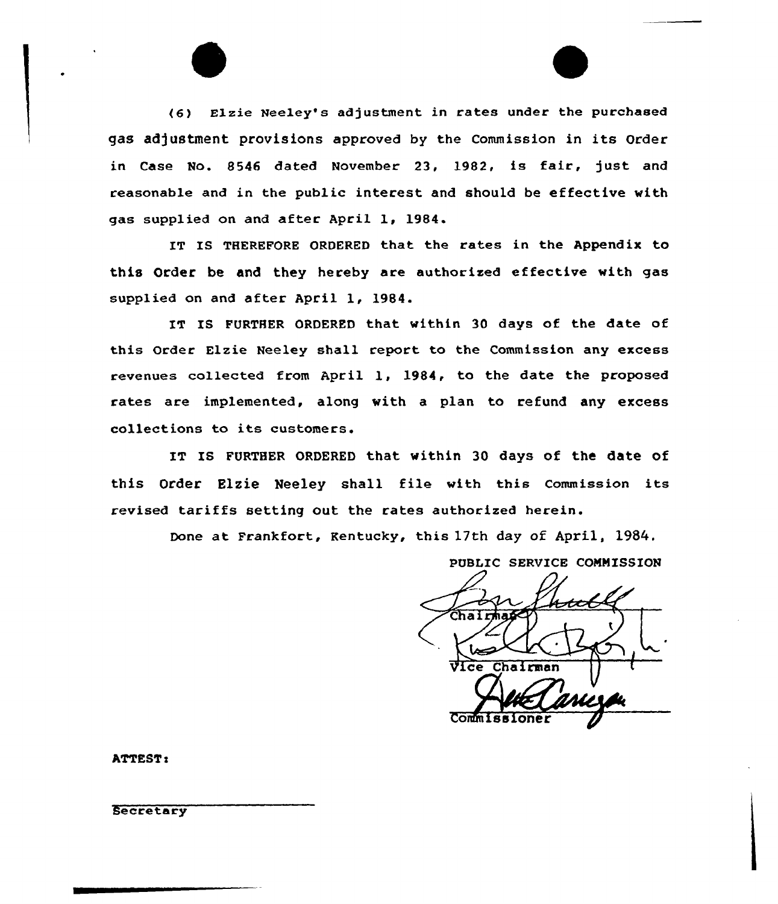(6) Elzie Neeley's adjustment in rates under the purchased gas adjustment provisions approved by the Commission in its Order in Case No. 8546 dated November 23, 1982, is fair, just and reasonable and in the public interest and should be effective with gas supplied on and after April 1, 1984.

IT IS THEREFORE ORDERED that the rates in the Appendix to this Order be and they hereby are authorized effective with gas supplied on and after April 1, 1984.

IT IS FURTHER ORDERED that within 30 days of the date of this Order Elzie Neeley shall report to the Commission any excess revenues collected from April 1, 1984, to the date the proposed rates are implemented, along with a plan to refund any excess collections to its customers.

IT IS FURTHER ORDERED that within 30 days of the date of this Order Elzie Neeley shall file with this commission its revised tariffs setting out the rates authorized herein.

Done at Frankfort, Kentucky, this 17th day of April, 1984.

PUBLIC SERVICE CONNISSION Chairman Commiss

 $\mathbf{r}$ 

**Secretary**